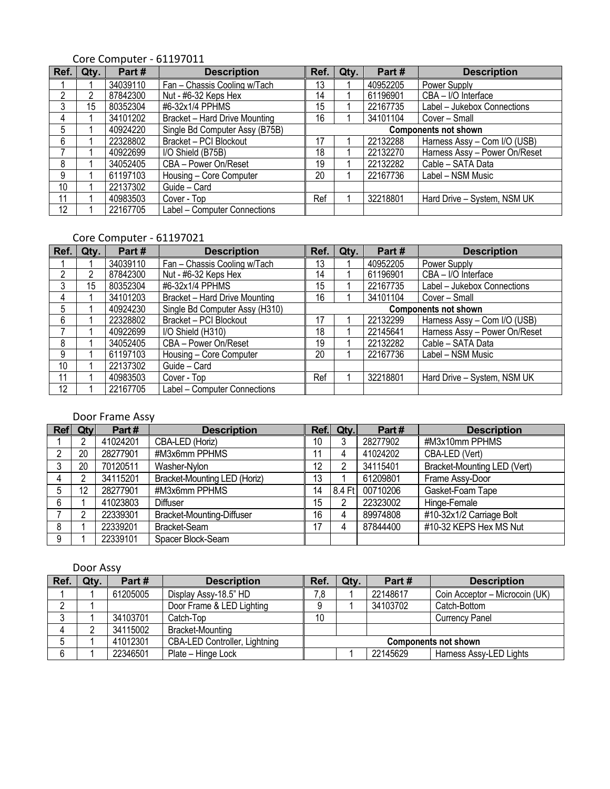| Ref. | Qty. | Part#    | <b>Description</b>                   | Ref.                        | Qty. | Part#    | <b>Description</b>            |  |
|------|------|----------|--------------------------------------|-----------------------------|------|----------|-------------------------------|--|
|      |      | 34039110 | Fan - Chassis Cooling w/Tach         | 13                          |      | 40952205 | Power Supply                  |  |
| ŋ    | 2    | 87842300 | Nut - #6-32 Keps Hex                 | 14                          |      | 61196901 | CBA - I/O Interface           |  |
| 3    | 15   | 80352304 | #6-32x1/4 PPHMS                      | 15                          |      | 22167735 | Label - Jukebox Connections   |  |
| 4    |      | 34101202 | <b>Bracket - Hard Drive Mounting</b> | 16                          |      | 34101104 | Cover - Small                 |  |
| 5    |      | 40924220 | Single Bd Computer Assy (B75B)       | <b>Components not shown</b> |      |          |                               |  |
| 6    |      | 22328802 | Bracket - PCI Blockout               | 17                          |      | 22132288 | Harness Assy - Com I/O (USB)  |  |
|      |      | 40922699 | I/O Shield (B75B)                    | 18                          |      | 22132270 | Harness Assy - Power On/Reset |  |
| 8    |      | 34052405 | CBA - Power On/Reset                 | 19                          |      | 22132282 | Cable - SATA Data             |  |
| 9    |      | 61197103 | Housing - Core Computer              | 20                          |      | 22167736 | Label - NSM Music             |  |
| 10   |      | 22137302 | Guide - Card                         |                             |      |          |                               |  |
| 11   |      | 40983503 | Cover - Top                          | Ref                         |      | 32218801 | Hard Drive - System, NSM UK   |  |
| 12   |      | 22167705 | Label - Computer Connections         |                             |      |          |                               |  |

#### Core Computer - 61197011

### Core Computer - 61197021

| Ref. | Qty. | Part#    | <b>Description</b>             | Ref.                        | Qty. | Part#    | <b>Description</b>            |
|------|------|----------|--------------------------------|-----------------------------|------|----------|-------------------------------|
|      |      | 34039110 | Fan - Chassis Cooling w/Tach   | 13                          |      | 40952205 | Power Supply                  |
| ŋ    | 2    | 87842300 | Nut - #6-32 Keps Hex           | 14                          |      | 61196901 | CBA - I/O Interface           |
| 3    | 15   | 80352304 | #6-32x1/4 PPHMS                | 15                          |      | 22167735 | Label - Jukebox Connections   |
| 4    |      | 34101203 | Bracket - Hard Drive Mounting  | 16                          |      | 34101104 | Cover - Small                 |
| 5    |      | 40924230 | Single Bd Computer Assy (H310) | <b>Components not shown</b> |      |          |                               |
| 6    |      | 22328802 | Bracket - PCI Blockout         | 17                          |      | 22132299 | Harness Assy - Com I/O (USB)  |
|      |      | 40922699 | I/O Shield (H310)              | 18                          |      | 22145641 | Harness Assy - Power On/Reset |
| 8    |      | 34052405 | CBA - Power On/Reset           | 19                          |      | 22132282 | Cable - SATA Data             |
| 9    |      | 61197103 | Housing - Core Computer        | 20                          |      | 22167736 | Label - NSM Music             |
| 10   |      | 22137302 | Guide - Card                   |                             |      |          |                               |
| 11   |      | 40983503 | Cover - Top                    | Ref                         |      | 32218801 | Hard Drive - System, NSM UK   |
| 12   |      | 22167705 | Label - Computer Connections   |                             |      |          |                               |

## Door Frame Assy

| Re <sub>f</sub> | <b>Qty</b> | Part#    | <b>Description</b>                  |    | Ref. Qty.          | Part#    | <b>Description</b>                           |
|-----------------|------------|----------|-------------------------------------|----|--------------------|----------|----------------------------------------------|
|                 |            | 41024201 | CBA-LED (Horiz)                     | 10 |                    | 28277902 | #M3x10mm PPHMS                               |
|                 | 20         | 28277901 | #M3x6mm PPHMS                       | 11 |                    | 41024202 | CBA-LED (Vert)                               |
|                 | 20         | 70120511 | Washer-Nylon                        | 12 |                    | 34115401 | Bracket-Mounting LED (Vert)                  |
| 4               |            | 34115201 | <b>Bracket-Mounting LED (Horiz)</b> | 13 |                    | 61209801 | Frame Assy-Door                              |
| 5               | 12         | 28277901 | #M3x6mm PPHMS                       | 14 | $ 8.4 \text{ Ft} $ | 00710206 | Gasket-Foam Tape                             |
| 6               |            | 41023803 | <b>Diffuser</b>                     | 15 | ∩                  | 22323002 | Hinge-Female                                 |
|                 |            | 22339301 | <b>Bracket-Mounting-Diffuser</b>    | 16 |                    | 89974808 | $\sqrt{\frac{1}{410}}$ -32x1/2 Carriage Bolt |
| 8               |            | 22339201 | Bracket-Seam                        | 17 |                    | 87844400 | #10-32 KEPS Hex MS Nut                       |
| 9               |            | 22339101 | Spacer Block-Seam                   |    |                    |          |                                              |

## Door Assy

| Ref. | Qty. | Part#    | <b>Description</b>                   | Ref.                        | Qtv. | Part#    | <b>Description</b>             |  |
|------|------|----------|--------------------------------------|-----------------------------|------|----------|--------------------------------|--|
|      |      | 61205005 | Display Assy-18.5" HD                | 7,8                         |      | 22148617 | Coin Acceptor - Microcoin (UK) |  |
|      |      |          | Door Frame & LED Lighting            |                             |      | 34103702 | Catch-Bottom                   |  |
|      |      | 34103701 | Catch-Top                            | 10                          |      |          | <b>Currency Panel</b>          |  |
|      |      | 34115002 | <b>Bracket-Mounting</b>              |                             |      |          |                                |  |
|      |      | 41012301 | <b>CBA-LED Controller, Lightning</b> | <b>Components not shown</b> |      |          |                                |  |
|      |      | 22346501 | Plate - Hinge Lock                   |                             |      | 22145629 | Harness Assy-LED Lights        |  |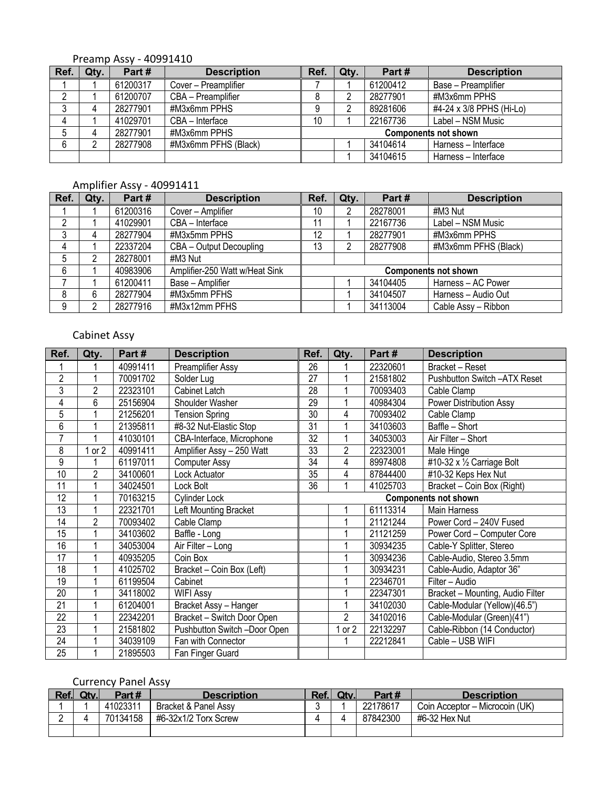## Preamp Assy - 40991410

| Ref. | Qty. | Part#    | <b>Description</b>   | Ref.                        | Qty. | Part#    | <b>Description</b>       |  |
|------|------|----------|----------------------|-----------------------------|------|----------|--------------------------|--|
|      |      | 61200317 | Cover – Preamplifier |                             |      | 61200412 | Base - Preamplifier      |  |
|      |      | 61200707 | CBA - Preamplifier   |                             |      | 28277901 | #M3x6mm PPHS             |  |
|      | 4    | 28277901 | #M3x6mm PPHS         |                             |      | 89281606 | #4-24 x 3/8 PPHS (Hi-Lo) |  |
|      |      | 41029701 | CBA - Interface      | 10                          |      | 22167736 | Label – NSM Music        |  |
|      |      | 28277901 | #M3x6mm PPHS         | <b>Components not shown</b> |      |          |                          |  |
| 6    |      | 28277908 | #M3x6mm PFHS (Black) |                             |      | 34104614 | Harness - Interface      |  |
|      |      |          |                      |                             |      | 34104615 | Harness - Interface      |  |

# Amplifier Assy - 40991411

| Ref. | Qty. | Part#    | <b>Description</b>             | Ref. | Qty. | Part#    | <b>Description</b>          |
|------|------|----------|--------------------------------|------|------|----------|-----------------------------|
|      |      | 61200316 | Cover - Amplifier              | 10   | 2    | 28278001 | #M3 Nut                     |
| ŋ    |      | 41029901 | CBA - Interface                | 11   |      | 22167736 | Label - NSM Music           |
| 3    | 4    | 28277904 | #M3x5mm PPHS                   | 12   |      | 28277901 | #M3x6mm PPHS                |
|      |      | 22337204 | CBA - Output Decoupling        | 13   |      | 28277908 | #M3x6mm PFHS (Black)        |
| 5    | 2    | 28278001 | #M3 Nut                        |      |      |          |                             |
| 6    |      | 40983906 | Amplifier-250 Watt w/Heat Sink |      |      |          | <b>Components not shown</b> |
|      |      | 61200411 | Base - Amplifier               |      |      | 34104405 | Harness - AC Power          |
| 8    | 6    | 28277904 | #M3x5mm PFHS                   |      |      | 34104507 | Harness - Audio Out         |
| 9    | റ    | 28277916 | #M3x12mm PFHS                  |      |      | 34113004 | Cable Assy - Ribbon         |

# Cabinet Assy

| Ref.            | Qty.           | Part#    | <b>Description</b>           | Ref.                        | Qty.           | Part#    | <b>Description</b>               |  |
|-----------------|----------------|----------|------------------------------|-----------------------------|----------------|----------|----------------------------------|--|
|                 |                | 40991411 | Preamplifier Assy            | 26                          |                | 22320601 | Bracket - Reset                  |  |
| $\overline{2}$  |                | 70091702 | Solder Lug                   | $\overline{27}$             |                | 21581802 | Pushbutton Switch -ATX Reset     |  |
| $\overline{3}$  | $\overline{2}$ | 22323101 | Cabinet Latch                | $\overline{28}$             |                | 70093403 | Cable Clamp                      |  |
| 4               | 6              | 25156904 | Shoulder Washer              | 29                          |                | 40984304 | Power Distribution Assy          |  |
| $\overline{5}$  |                | 21256201 | <b>Tension Spring</b>        | 30                          | 4              | 70093402 | Cable Clamp                      |  |
| $\overline{6}$  |                | 21395811 | #8-32 Nut-Elastic Stop       | $\overline{31}$             |                | 34103603 | Baffle - Short                   |  |
| $\overline{7}$  |                | 41030101 | CBA-Interface, Microphone    | $\overline{32}$             |                | 34053003 | Air Filter - Short               |  |
| 8               | $1$ or $2$     | 40991411 | Amplifier Assy - 250 Watt    | $\overline{33}$             | 2              | 22323001 | Male Hinge                       |  |
| 9               |                | 61197011 | <b>Computer Assy</b>         | $\overline{34}$             | 4              | 89974808 | #10-32 x 1/2 Carriage Bolt       |  |
| 10              | $\overline{2}$ | 34100601 | Lock Actuator                | 35                          | 4              | 87844400 | #10-32 Keps Hex Nut              |  |
| 11              |                | 34024501 | Lock Bolt                    | 36                          |                | 41025703 | Bracket - Coin Box (Right)       |  |
| 12              |                | 70163215 | Cylinder Lock                | <b>Components not shown</b> |                |          |                                  |  |
| 13              |                | 22321701 | Left Mounting Bracket        |                             |                | 61113314 | Main Harness                     |  |
| 14              | $\overline{2}$ | 70093402 | Cable Clamp                  |                             |                | 21121244 | Power Cord - 240V Fused          |  |
| 15              |                | 34103602 | Baffle - Long                |                             |                | 21121259 | Power Cord - Computer Core       |  |
| 16              |                | 34053004 | Air Filter - Long            |                             |                | 30934235 | Cable-Y Splitter, Stereo         |  |
| 17              |                | 40935205 | Coin Box                     |                             |                | 30934236 | Cable-Audio, Stereo 3.5mm        |  |
| 18              |                | 41025702 | Bracket - Coin Box (Left)    |                             |                | 30934231 | Cable-Audio, Adaptor 36"         |  |
| 19              |                | 61199504 | Cabinet                      |                             |                | 22346701 | Filter - Audio                   |  |
| $\overline{20}$ |                | 34118002 | <b>WIFI Assy</b>             |                             |                | 22347301 | Bracket - Mounting, Audio Filter |  |
| 21              |                | 61204001 | Bracket Assy - Hanger        |                             |                | 34102030 | Cable-Modular (Yellow)(46.5")    |  |
| 22              |                | 22342201 | Bracket - Switch Door Open   |                             | $\overline{2}$ | 34102016 | Cable-Modular (Green)(41")       |  |
| 23              |                | 21581802 | Pushbutton Switch -Door Open |                             | or $2$         | 22132297 | Cable-Ribbon (14 Conductor)      |  |
| 24              |                | 34039109 | Fan with Connector           |                             |                | 22212841 | Cable - USB WIFI                 |  |
| 25              |                | 21895503 | Fan Finger Guard             |                             |                |          |                                  |  |

# Currency Panel Assy

| Ref. | Qtv. | Part#    | <b>Description</b>   | Ref. | Qtv. | Part #   | <b>Description</b>             |
|------|------|----------|----------------------|------|------|----------|--------------------------------|
|      |      | 41023311 | Bracket & Panel Assy |      |      | 22178617 | Coin Acceptor - Microcoin (UK) |
|      |      | 70134158 | #6-32x1/2 Torx Screw |      |      | 87842300 | #6-32 Hex Nut                  |
|      |      |          |                      |      |      |          |                                |